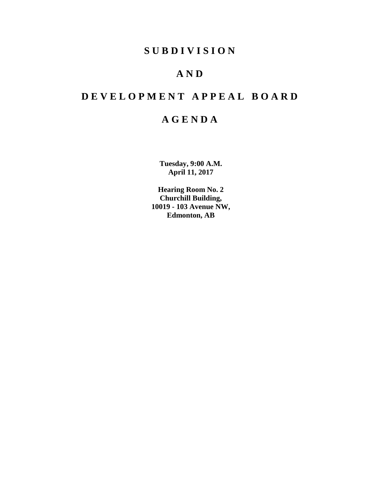### **S U B D I V I S I O N**

## **A N D**

# **D E V E L O P M E N T A P P E A L B O A R D**

## **A G E N D A**

**Tuesday, 9:00 A.M. April 11, 2017**

**Hearing Room No. 2 Churchill Building, 10019 - 103 Avenue NW, Edmonton, AB**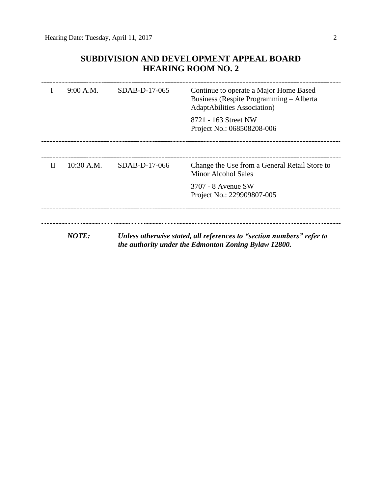### **SUBDIVISION AND DEVELOPMENT APPEAL BOARD HEARING ROOM NO. 2**

|              | 9:00 A.M.    | SDAB-D-17-065 | Continue to operate a Major Home Based<br>Business (Respite Programming – Alberta<br><b>AdaptAbilities Association</b> )      |
|--------------|--------------|---------------|-------------------------------------------------------------------------------------------------------------------------------|
|              |              |               | 8721 - 163 Street NW<br>Project No.: 068508208-006                                                                            |
|              |              |               |                                                                                                                               |
| $\mathbf{H}$ | $10:30$ A.M. | SDAB-D-17-066 | Change the Use from a General Retail Store to<br>Minor Alcohol Sales                                                          |
|              |              |               | 3707 - 8 Avenue SW<br>Project No.: 229909807-005                                                                              |
|              |              |               |                                                                                                                               |
|              | <b>NOTE:</b> |               | Unless otherwise stated, all references to "section numbers" refer to<br>the authority under the Edmonton Zoning Bylaw 12800. |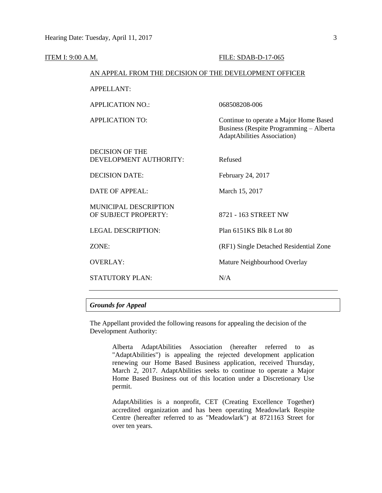| <u>ITEM I: 9:00 A.M.</u> |                                                        | <b>FILE: SDAB-D-17-065</b>                                                                                               |
|--------------------------|--------------------------------------------------------|--------------------------------------------------------------------------------------------------------------------------|
|                          | AN APPEAL FROM THE DECISION OF THE DEVELOPMENT OFFICER |                                                                                                                          |
|                          | <b>APPELLANT:</b>                                      |                                                                                                                          |
|                          | <b>APPLICATION NO.:</b>                                | 068508208-006                                                                                                            |
|                          | <b>APPLICATION TO:</b>                                 | Continue to operate a Major Home Based<br>Business (Respite Programming - Alberta<br><b>AdaptAbilities Association</b> ) |
|                          | <b>DECISION OF THE</b><br>DEVELOPMENT AUTHORITY:       | Refused                                                                                                                  |
|                          | <b>DECISION DATE:</b>                                  | February 24, 2017                                                                                                        |
|                          | <b>DATE OF APPEAL:</b>                                 | March 15, 2017                                                                                                           |
|                          | <b>MUNICIPAL DESCRIPTION</b><br>OF SUBJECT PROPERTY:   | 8721 - 163 STREET NW                                                                                                     |
|                          | <b>LEGAL DESCRIPTION:</b>                              | Plan 6151KS Blk 8 Lot 80                                                                                                 |
|                          | ZONE:                                                  | (RF1) Single Detached Residential Zone                                                                                   |
|                          | <b>OVERLAY:</b>                                        | Mature Neighbourhood Overlay                                                                                             |
|                          | <b>STATUTORY PLAN:</b>                                 | N/A                                                                                                                      |
|                          |                                                        |                                                                                                                          |

### *Grounds for Appeal*

The Appellant provided the following reasons for appealing the decision of the Development Authority:

> Alberta AdaptAbilities Association (hereafter referred to as "AdaptAbilities") is appealing the rejected development application renewing our Home Based Business application, received Thursday, March 2, 2017. AdaptAbilities seeks to continue to operate a Major Home Based Business out of this location under a Discretionary Use permit.

> AdaptAbilities is a nonprofit, CET (Creating Excellence Together) accredited organization and has been operating Meadowlark Respite Centre (hereafter referred to as "Meadowlark") at 8721163 Street for over ten years.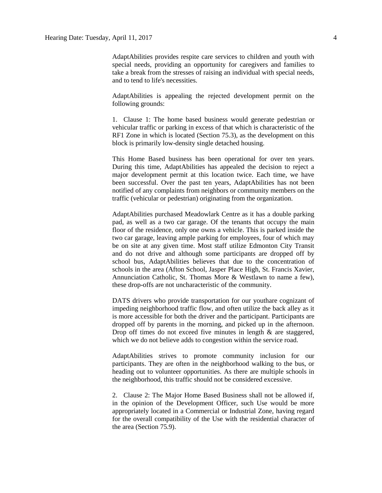AdaptAbilities provides respite care services to children and youth with special needs, providing an opportunity for caregivers and families to take a break from the stresses of raising an individual with special needs, and to tend to life's necessities.

AdaptAbilities is appealing the rejected development permit on the following grounds:

1. Clause 1: The home based business would generate pedestrian or vehicular traffic or parking in excess of that which is characteristic of the RF1 Zone in which is located (Section 75.3), as the development on this block is primarily low-density single detached housing.

This Home Based business has been operational for over ten years. During this time, AdaptAbilities has appealed the decision to reject a major development permit at this location twice. Each time, we have been successful. Over the past ten years, AdaptAbilities has not been notified of any complaints from neighbors or community members on the traffic (vehicular or pedestrian) originating from the organization.

AdaptAbilities purchased Meadowlark Centre as it has a double parking pad, as well as a two car garage. Of the tenants that occupy the main floor of the residence, only one owns a vehicle. This is parked inside the two car garage, leaving ample parking for employees, four of which may be on site at any given time. Most staff utilize Edmonton City Transit and do not drive and although some participants are dropped off by school bus, AdaptAbilities believes that due to the concentration of schools in the area (Afton School, Jasper Place High, St. Francis Xavier, Annunciation Catholic, St. Thomas More & Westlawn to name a few), these drop-offs are not uncharacteristic of the community.

DATS drivers who provide transportation for our youthare cognizant of impeding neighborhood traffic flow, and often utilize the back alley as it is more accessible for both the driver and the participant. Participants are dropped off by parents in the morning, and picked up in the afternoon. Drop off times do not exceed five minutes in length  $\&$  are staggered, which we do not believe adds to congestion within the service road.

AdaptAbilities strives to promote community inclusion for our participants. They are often in the neighborhood walking to the bus, or heading out to volunteer opportunities. As there are multiple schools in the neighborhood, this traffic should not be considered excessive.

2. Clause 2: The Major Home Based Business shall not be allowed if, in the opinion of the Development Officer, such Use would be more appropriately located in a Commercial or Industrial Zone, having regard for the overall compatibility of the Use with the residential character of the area (Section 75.9).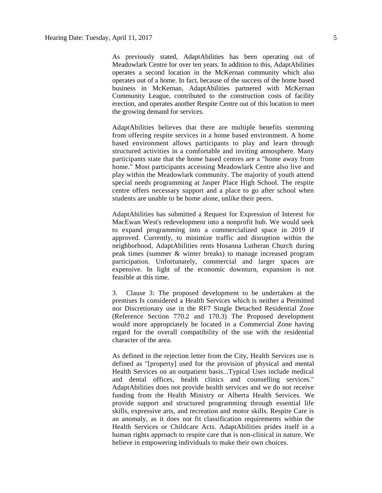As previously stated, AdaptAbilities has been operating out of Meadowlark Centre for over ten years. In addition to this, AdaptAbilities operates a second location in the McKernan community which also operates out of a home. In fact, because of the success of the home based business in McKernan, AdaptAbilities partnered with McKernan Community League, contributed to the construction costs of facility erection, and operates another Respite Centre out of this location to meet the growing demand for services.

AdaptAbilities believes that there are multiple benefits stemming from offering respite services in a home based environment. A home based environment allows participants to play and learn through structured activities in a comfortable and inviting atmosphere. Many participants state that the home based centres are a "home away from home." Most participants accessing Meadowlark Centre also live and play within the Meadowlark community. The majority of youth attend special needs programming at Jasper Place High School. The respite centre offers necessary support and a place to go after school when students are unable to be home alone, unlike their peers.

AdaptAbilities has submitted a Request for Expression of Interest for MacEwan West's redevelopment into a nonprofit hub. We would seek to expand programming into a commercialized space in 2019 if approved. Currently, to minimize traffic and disruption within the neighborhood, AdaptAbilities rents Hosanna Lutheran Church during peak times (summer & winter breaks) to manage increased program participation. Unfortunately, commercial and larger spaces are expensive. In light of the economic downturn, expansion is not feasible at this time.

3. Clause 3: The proposed development to be undertaken at the premises Is considered a Health Services which is neither a Permitted nor Discretionary use in the RF7 Single Detached Residential Zone (Reference Section 770.2 and 170.3) The Proposed development would more appropriately be located in a Commercial Zone having regard for the overall compatibility of the use with the residential character of the area.

As defined in the rejection letter from the City, Health Services use is defined as "[property] used for the provision of physical and mental Health Services on an outpatient basis...Typical Uses include medical and dental offices, health clinics and counselling services." AdaptAbilities does not provide health services and we do not receive funding from the Health Ministry or Alberta Health Services. We provide support and structured programming through essential life skills, expressive arts, and recreation and motor skills. Respite Care is an anomaly, as it does not fit classification requirements within the Health Services or Childcare Acts. AdaptAbilities prides itself in a human rights approach to respite care that is non-clinical in nature. We believe in empowering individuals to make their own choices.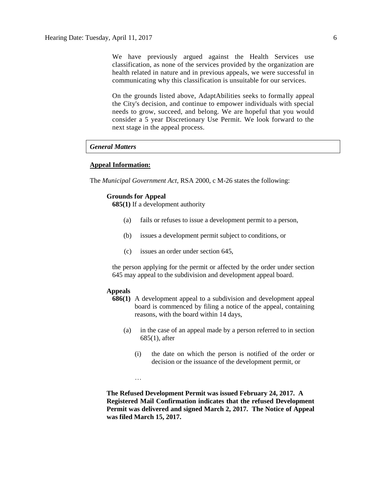We have previously argued against the Health Services use classification, as none of the services provided by the organization are health related in nature and in previous appeals, we were successful in communicating why this classification is unsuitable for our services.

On the grounds listed above, AdaptAbilities seeks to formally appeal the City's decision, and continue to empower individuals with special needs to grow, succeed, and belong. We are hopeful that you would consider a 5 year Discretionary Use Permit. We look forward to the next stage in the appeal process.

#### *General Matters*

#### **Appeal Information:**

The *Municipal Government Act*, RSA 2000, c M-26 states the following:

#### **Grounds for Appeal**

**685(1)** If a development authority

- (a) fails or refuses to issue a development permit to a person,
- (b) issues a development permit subject to conditions, or
- (c) issues an order under section 645,

the person applying for the permit or affected by the order under section 645 may appeal to the subdivision and development appeal board.

#### **Appeals**

- **686(1)** A development appeal to a subdivision and development appeal board is commenced by filing a notice of the appeal, containing reasons, with the board within 14 days,
	- (a) in the case of an appeal made by a person referred to in section 685(1), after
		- (i) the date on which the person is notified of the order or decision or the issuance of the development permit, or

…

**The Refused Development Permit was issued February 24, 2017. A Registered Mail Confirmation indicates that the refused Development Permit was delivered and signed March 2, 2017. The Notice of Appeal was filed March 15, 2017.**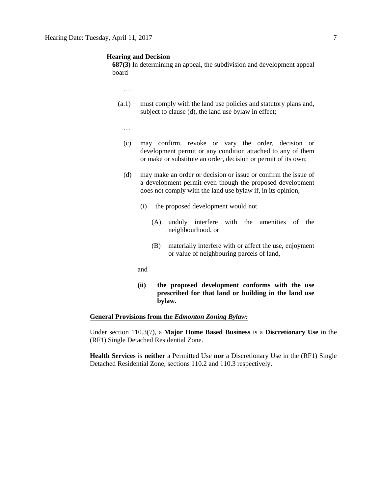#### **Hearing and Decision**

**687(3)** In determining an appeal, the subdivision and development appeal board

…

- (a.1) must comply with the land use policies and statutory plans and, subject to clause (d), the land use bylaw in effect;
	- …
	- (c) may confirm, revoke or vary the order, decision or development permit or any condition attached to any of them or make or substitute an order, decision or permit of its own;
	- (d) may make an order or decision or issue or confirm the issue of a development permit even though the proposed development does not comply with the land use bylaw if, in its opinion,
		- (i) the proposed development would not
			- (A) unduly interfere with the amenities of the neighbourhood, or
			- (B) materially interfere with or affect the use, enjoyment or value of neighbouring parcels of land,
		- and
		- **(ii) the proposed development conforms with the use prescribed for that land or building in the land use bylaw.**

#### **General Provisions from the** *Edmonton Zoning Bylaw:*

Under section 110.3(7), a **Major Home Based Business** is a **Discretionary Use** in the (RF1) Single Detached Residential Zone.

**Health Services** is **neither** a Permitted Use **nor** a Discretionary Use in the (RF1) Single Detached Residential Zone, sections 110.2 and 110.3 respectively.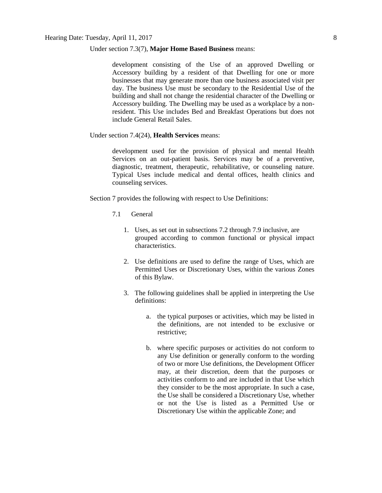#### Under section 7.3(7), **Major Home Based Business** means:

development consisting of the Use of an approved Dwelling or Accessory building by a resident of that Dwelling for one or more businesses that may generate more than one business associated visit per day. The business Use must be secondary to the Residential Use of the building and shall not change the residential character of the Dwelling or Accessory building. The Dwelling may be used as a workplace by a nonresident. This Use includes Bed and Breakfast Operations but does not include General Retail Sales.

#### Under section 7.4(24), **Health Services** means:

development used for the provision of physical and mental Health Services on an out-patient basis. Services may be of a preventive, diagnostic, treatment, therapeutic, rehabilitative, or counseling nature. Typical Uses include medical and dental offices, health clinics and counseling services.

Section 7 provides the following with respect to Use Definitions:

- 7.1 General
	- 1. Uses, as set out in subsections 7.2 through 7.9 inclusive, are grouped according to common functional or physical impact characteristics.
	- 2. Use definitions are used to define the range of Uses, which are Permitted Uses or Discretionary Uses, within the various Zones of this Bylaw.
	- 3. The following guidelines shall be applied in interpreting the Use definitions:
		- a. the typical purposes or activities, which may be listed in the definitions, are not intended to be exclusive or restrictive;
		- b. where specific purposes or activities do not conform to any Use definition or generally conform to the wording of two or more Use definitions, the Development Officer may, at their discretion, deem that the purposes or activities conform to and are included in that Use which they consider to be the most appropriate. In such a case, the Use shall be considered a Discretionary Use, whether or not the Use is listed as a Permitted Use or Discretionary Use within the applicable Zone; and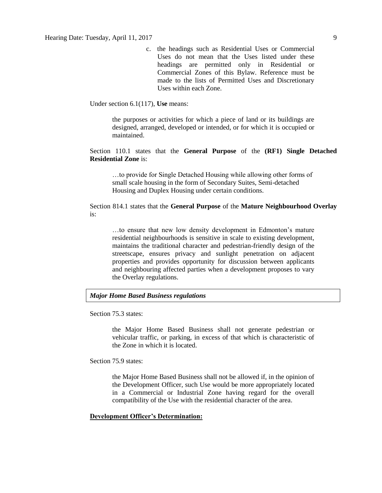c. the headings such as Residential Uses or Commercial Uses do not mean that the Uses listed under these headings are permitted only in Residential or Commercial Zones of this Bylaw. Reference must be made to the lists of Permitted Uses and Discretionary Uses within each Zone.

Under section 6.1(117), **Use** means:

the purposes or activities for which a piece of land or its buildings are designed, arranged, developed or intended, or for which it is occupied or maintained.

#### Section 110.1 states that the **General Purpose** of the **(RF1) Single Detached Residential Zone** is:

…to provide for Single Detached Housing while allowing other forms of small scale housing in the form of Secondary Suites, Semi-detached Housing and Duplex Housing under certain conditions.

Section 814.1 states that the **General Purpose** of the **Mature Neighbourhood Overlay** is:

…to ensure that new low density development in Edmonton's mature residential neighbourhoods is sensitive in scale to existing development, maintains the traditional character and pedestrian-friendly design of the streetscape, ensures privacy and sunlight penetration on adjacent properties and provides opportunity for discussion between applicants and neighbouring affected parties when a development proposes to vary the Overlay regulations.

#### *Major Home Based Business regulations*

Section 75.3 states:

the Major Home Based Business shall not generate pedestrian or vehicular traffic, or parking, in excess of that which is characteristic of the Zone in which it is located.

Section 75.9 states:

the Major Home Based Business shall not be allowed if, in the opinion of the Development Officer, such Use would be more appropriately located in a Commercial or Industrial Zone having regard for the overall compatibility of the Use with the residential character of the area.

#### **Development Officer's Determination:**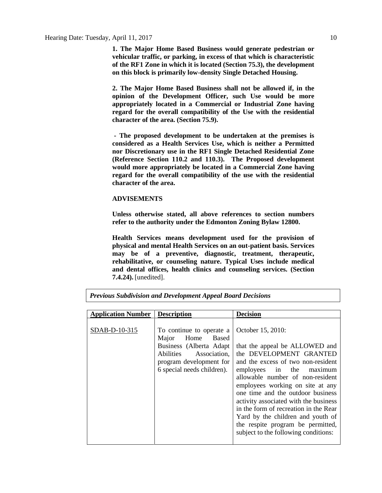**1. The Major Home Based Business would generate pedestrian or vehicular traffic, or parking, in excess of that which is characteristic of the RF1 Zone in which it is located (Section 75.3), the development on this block is primarily low-density Single Detached Housing.**

**2. The Major Home Based Business shall not be allowed if, in the opinion of the Development Officer, such Use would be more appropriately located in a Commercial or Industrial Zone having regard for the overall compatibility of the Use with the residential character of the area. (Section 75.9).**

**- The proposed development to be undertaken at the premises is considered as a Health Services Use, which is neither a Permitted nor Discretionary use in the RF1 Single Detached Residential Zone (Reference Section 110.2 and 110.3). The Proposed development would more appropriately be located in a Commercial Zone having regard for the overall compatibility of the use with the residential character of the area.**

#### **ADVISEMENTS**

**Unless otherwise stated, all above references to section numbers refer to the authority under the Edmonton Zoning Bylaw 12800.**

**Health Services means development used for the provision of physical and mental Health Services on an out-patient basis. Services may be of a preventive, diagnostic, treatment, therapeutic, rehabilitative, or counseling nature. Typical Uses include medical and dental offices, health clinics and counseling services. (Section 7.4.24).** [unedited].

| <b>Application Number   Description</b> |                                                                                                                                                            | <b>Decision</b>                                                                                                                                                                                                                                                                                                                                                                                                                                                   |
|-----------------------------------------|------------------------------------------------------------------------------------------------------------------------------------------------------------|-------------------------------------------------------------------------------------------------------------------------------------------------------------------------------------------------------------------------------------------------------------------------------------------------------------------------------------------------------------------------------------------------------------------------------------------------------------------|
| SDAB-D-10-315                           | To continue to operate a<br>Major Home Based<br>Business (Alberta Adapt<br>Abilities Association,<br>program development for<br>6 special needs children). | October 15, 2010:<br>that the appeal be ALLOWED and<br>the DEVELOPMENT GRANTED<br>and the excess of two non-resident<br>employees in the maximum<br>allowable number of non-resident<br>employees working on site at any<br>one time and the outdoor business<br>activity associated with the business<br>in the form of recreation in the Rear<br>Yard by the children and youth of<br>the respite program be permitted,<br>subject to the following conditions: |

*Previous Subdivision and Development Appeal Board Decisions*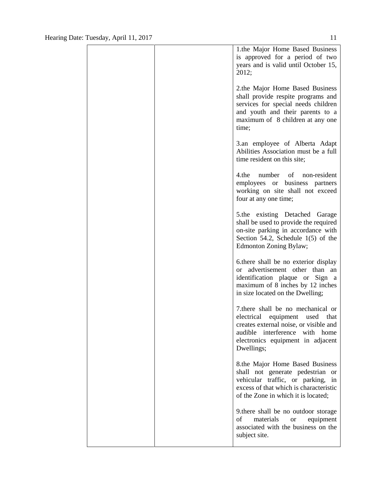|  | 1.the Major Home Based Business<br>is approved for a period of two<br>years and is valid until October 15,<br>2012;                                                                                       |
|--|-----------------------------------------------------------------------------------------------------------------------------------------------------------------------------------------------------------|
|  | 2.the Major Home Based Business<br>shall provide respite programs and<br>services for special needs children<br>and youth and their parents to a<br>maximum of 8 children at any one<br>time;             |
|  | 3.an employee of Alberta Adapt<br>Abilities Association must be a full<br>time resident on this site;                                                                                                     |
|  | 4.the number of non-resident<br>employees or business partners<br>working on site shall not exceed<br>four at any one time;                                                                               |
|  | 5.the existing Detached Garage<br>shall be used to provide the required<br>on-site parking in accordance with<br>Section 54.2, Schedule $1(5)$ of the<br>Edmonton Zoning Bylaw;                           |
|  | 6. there shall be no exterior display<br>or advertisement other than an<br>identification plaque or Sign a<br>maximum of 8 inches by 12 inches<br>in size located on the Dwelling;                        |
|  | 7. there shall be no mechanical or<br>electrical equipment used that<br>creates external noise, or visible and<br>audible interference<br>with<br>home<br>electronics equipment in adjacent<br>Dwellings; |
|  | 8.the Major Home Based Business<br>shall not generate pedestrian<br><b>or</b><br>vehicular traffic, or parking,<br>in<br>excess of that which is characteristic<br>of the Zone in which it is located;    |
|  | 9.there shall be no outdoor storage<br>materials<br>of<br><b>or</b><br>equipment<br>associated with the business on the<br>subject site.                                                                  |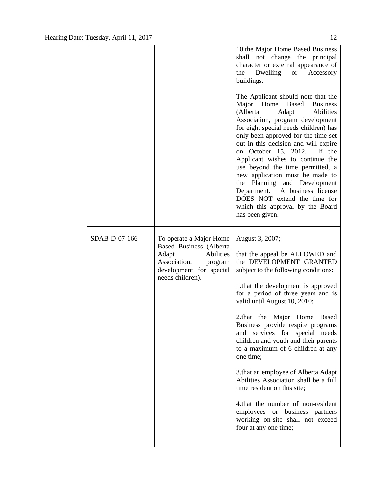|               |                                                                                                     | 10.the Major Home Based Business<br>shall not change the principal<br>character or external appearance of<br>Dwelling or Accessory<br>the<br>buildings.                                                                                                                                                                                                                                                                                                                                                                                                                     |
|---------------|-----------------------------------------------------------------------------------------------------|-----------------------------------------------------------------------------------------------------------------------------------------------------------------------------------------------------------------------------------------------------------------------------------------------------------------------------------------------------------------------------------------------------------------------------------------------------------------------------------------------------------------------------------------------------------------------------|
|               |                                                                                                     | The Applicant should note that the<br>Major Home Based<br><b>Business</b><br>Adapt<br>(Alberta)<br>Abilities<br>Association, program development<br>for eight special needs children) has<br>only been approved for the time set<br>out in this decision and will expire<br>on October 15, 2012. If the<br>Applicant wishes to continue the<br>use beyond the time permitted, a<br>new application must be made to<br>the Planning and Development<br>Department. A business license<br>DOES NOT extend the time for<br>which this approval by the Board<br>has been given. |
| SDAB-D-07-166 | To operate a Major Home<br>Based Business (Alberta<br>Abilities<br>Adapt<br>Association,<br>program | August 3, 2007;<br>that the appeal be ALLOWED and<br>the DEVELOPMENT GRANTED                                                                                                                                                                                                                                                                                                                                                                                                                                                                                                |
|               | development for special                                                                             | subject to the following conditions:                                                                                                                                                                                                                                                                                                                                                                                                                                                                                                                                        |
|               | needs children).                                                                                    | 1. that the development is approved<br>for a period of three years and is<br>valid until August 10, 2010;                                                                                                                                                                                                                                                                                                                                                                                                                                                                   |
|               |                                                                                                     | 2.that the Major Home Based<br>Business provide respite programs<br>and services for special needs<br>children and youth and their parents<br>to a maximum of 6 children at any<br>one time:                                                                                                                                                                                                                                                                                                                                                                                |
|               |                                                                                                     | 3. that an employee of Alberta Adapt<br>Abilities Association shall be a full<br>time resident on this site;                                                                                                                                                                                                                                                                                                                                                                                                                                                                |
|               |                                                                                                     | 4.that the number of non-resident<br>employees or business partners<br>working on-site shall not exceed                                                                                                                                                                                                                                                                                                                                                                                                                                                                     |
|               |                                                                                                     | four at any one time;                                                                                                                                                                                                                                                                                                                                                                                                                                                                                                                                                       |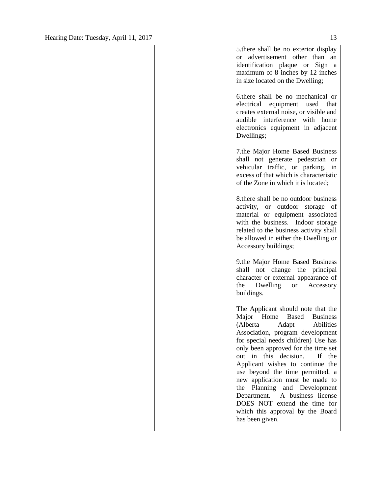|  | 5. there shall be no exterior display<br>advertisement other than an<br>$\alpha$<br>identification plaque or Sign a<br>maximum of 8 inches by 12 inches<br>in size located on the Dwelling;                                                                                                                                                                                                                                                                                                                                                   |
|--|-----------------------------------------------------------------------------------------------------------------------------------------------------------------------------------------------------------------------------------------------------------------------------------------------------------------------------------------------------------------------------------------------------------------------------------------------------------------------------------------------------------------------------------------------|
|  | 6.there shall be no mechanical or<br>electrical equipment used that<br>creates external noise, or visible and<br>audible interference with home<br>electronics equipment in adjacent<br>Dwellings;                                                                                                                                                                                                                                                                                                                                            |
|  | 7.the Major Home Based Business<br>shall not generate pedestrian or<br>vehicular traffic, or parking, in<br>excess of that which is characteristic<br>of the Zone in which it is located;                                                                                                                                                                                                                                                                                                                                                     |
|  | 8. there shall be no outdoor business<br>activity, or outdoor storage of<br>material or equipment associated<br>with the business. Indoor storage<br>related to the business activity shall<br>be allowed in either the Dwelling or<br>Accessory buildings;                                                                                                                                                                                                                                                                                   |
|  | 9.the Major Home Based Business<br>shall not change the principal<br>character or external appearance of<br>the Dwelling or Accessory<br>buildings.                                                                                                                                                                                                                                                                                                                                                                                           |
|  | The Applicant should note that the<br>Major<br>Home<br>Based<br><b>Business</b><br>(Alberta<br>Adapt<br>Abilities<br>Association, program development<br>for special needs children) Use has<br>only been approved for the time set<br>out in this decision.<br>If the<br>Applicant wishes to continue the<br>use beyond the time permitted, a<br>new application must be made to<br>Planning and Development<br>the<br>Department. A business license<br>DOES NOT extend the time for<br>which this approval by the Board<br>has been given. |
|  |                                                                                                                                                                                                                                                                                                                                                                                                                                                                                                                                               |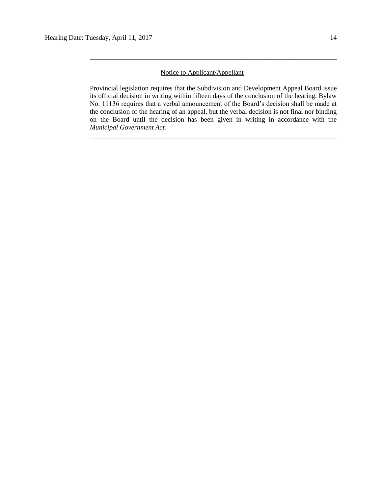### Notice to Applicant/Appellant

Provincial legislation requires that the Subdivision and Development Appeal Board issue its official decision in writing within fifteen days of the conclusion of the hearing. Bylaw No. 11136 requires that a verbal announcement of the Board's decision shall be made at the conclusion of the hearing of an appeal, but the verbal decision is not final nor binding on the Board until the decision has been given in writing in accordance with the *Municipal Government Act.*

\_\_\_\_\_\_\_\_\_\_\_\_\_\_\_\_\_\_\_\_\_\_\_\_\_\_\_\_\_\_\_\_\_\_\_\_\_\_\_\_\_\_\_\_\_\_\_\_\_\_\_\_\_\_\_\_\_\_\_\_\_\_\_\_\_\_\_\_\_\_\_\_

\_\_\_\_\_\_\_\_\_\_\_\_\_\_\_\_\_\_\_\_\_\_\_\_\_\_\_\_\_\_\_\_\_\_\_\_\_\_\_\_\_\_\_\_\_\_\_\_\_\_\_\_\_\_\_\_\_\_\_\_\_\_\_\_\_\_\_\_\_\_\_\_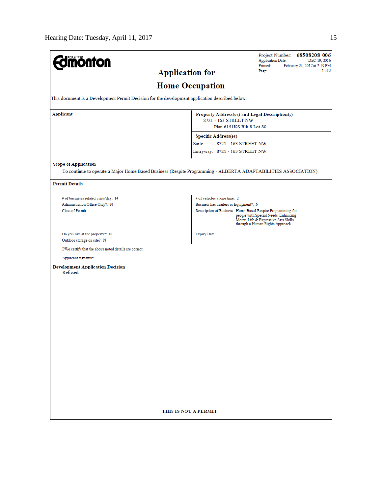| <b>Imónton</b>                                                                                                                                |                                                                                                                                                                                                                                                          | Project Number: 68508208-006<br><b>Application Date:</b><br>DEC 19, 2016<br>Printed:<br>February 24, 2017 at 2:59 PM |  |  |  |
|-----------------------------------------------------------------------------------------------------------------------------------------------|----------------------------------------------------------------------------------------------------------------------------------------------------------------------------------------------------------------------------------------------------------|----------------------------------------------------------------------------------------------------------------------|--|--|--|
| <b>Application for</b>                                                                                                                        |                                                                                                                                                                                                                                                          | 1 of 2<br>Page:                                                                                                      |  |  |  |
|                                                                                                                                               | <b>Home Occupation</b>                                                                                                                                                                                                                                   |                                                                                                                      |  |  |  |
| This document is a Development Permit Decision for the development application described below.                                               |                                                                                                                                                                                                                                                          |                                                                                                                      |  |  |  |
| Applicant                                                                                                                                     | Property Address(es) and Legal Description(s)<br>Plan 6151KS Blk 8 Lot 80                                                                                                                                                                                |                                                                                                                      |  |  |  |
|                                                                                                                                               | <b>Specific Address(es)</b>                                                                                                                                                                                                                              |                                                                                                                      |  |  |  |
|                                                                                                                                               | Suite:<br>8721 - 163 STREET NW                                                                                                                                                                                                                           |                                                                                                                      |  |  |  |
|                                                                                                                                               | Entryway: 8721 - 163 STREET NW                                                                                                                                                                                                                           |                                                                                                                      |  |  |  |
| <b>Scope of Application</b><br>To continue to operate a Major Home Based Business (Respite Programming - ALBERTA ADAPTABILITIES ASSOCIATION). |                                                                                                                                                                                                                                                          |                                                                                                                      |  |  |  |
| <b>Permit Details</b>                                                                                                                         |                                                                                                                                                                                                                                                          |                                                                                                                      |  |  |  |
| # of businesss related visits/day: 14<br>Administration Office Only?: N<br>Class of Permit:                                                   | # of vehicles at one time: 2<br>Business has Trailers or Equipment?: N<br>Description of Business: Home-Based Respite Programming for<br>people with Special Needs, Enhancing<br>Motor, Life & Expressive Arts Skills<br>through a Human Rights Approach |                                                                                                                      |  |  |  |
| Do you live at the property?: N<br>Outdoor storage on site?: N                                                                                | <b>Expiry Date:</b>                                                                                                                                                                                                                                      |                                                                                                                      |  |  |  |
| I/We certify that the above noted details are correct.                                                                                        |                                                                                                                                                                                                                                                          |                                                                                                                      |  |  |  |
| Applicant signature:                                                                                                                          |                                                                                                                                                                                                                                                          |                                                                                                                      |  |  |  |
| <b>Development Application Decision</b><br>Refused                                                                                            |                                                                                                                                                                                                                                                          |                                                                                                                      |  |  |  |
|                                                                                                                                               |                                                                                                                                                                                                                                                          |                                                                                                                      |  |  |  |
|                                                                                                                                               |                                                                                                                                                                                                                                                          |                                                                                                                      |  |  |  |
|                                                                                                                                               |                                                                                                                                                                                                                                                          |                                                                                                                      |  |  |  |
| THIS IS NOT A PERMIT                                                                                                                          |                                                                                                                                                                                                                                                          |                                                                                                                      |  |  |  |
|                                                                                                                                               |                                                                                                                                                                                                                                                          |                                                                                                                      |  |  |  |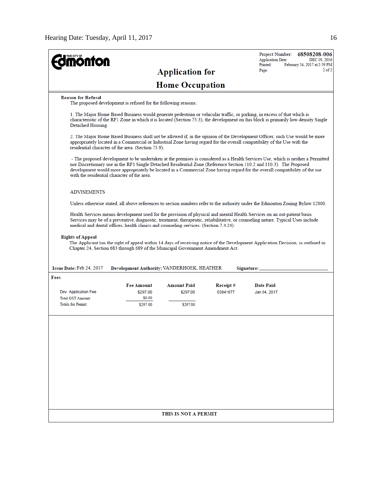| <b>iönfon</b>                               |                                                                                       |                        |          | Project Number:<br>68508208-006<br><b>Application Date:</b><br>DEC 19, 2016<br>Printed:<br>February 24, 2017 at 2:59 PM                                                                                                                                                                                                                                                                |
|---------------------------------------------|---------------------------------------------------------------------------------------|------------------------|----------|----------------------------------------------------------------------------------------------------------------------------------------------------------------------------------------------------------------------------------------------------------------------------------------------------------------------------------------------------------------------------------------|
|                                             |                                                                                       | <b>Application for</b> |          | $2$ of $2$<br>Page:                                                                                                                                                                                                                                                                                                                                                                    |
|                                             |                                                                                       | <b>Home Occupation</b> |          |                                                                                                                                                                                                                                                                                                                                                                                        |
| <b>Reason for Refusal</b>                   | The proposed development is refused for the following reasons:                        |                        |          |                                                                                                                                                                                                                                                                                                                                                                                        |
| Detached Housing.                           |                                                                                       |                        |          | 1. The Major Home Based Business would generate pedestrian or vehicular traffic, or parking, in excess of that which is<br>characteristic of the RF1 Zone in which it is located (Section 75.3), the development on this block is primarily low-density Single                                                                                                                         |
|                                             | residential character of the area. (Section 75.9).                                    |                        |          | 2. The Major Home Based Business shall not be allowed if, in the opinion of the Development Officer, such Use would be more<br>appropriately located in a Commercial or Industrial Zone having regard for the overall compatibility of the Use with the                                                                                                                                |
| with the residential character of the area. |                                                                                       |                        |          | - The proposed development to be undertaken at the premises is considered as a Health Services Use, which is neither a Permitted<br>nor Discretionary use in the RF1 Single Detached Residential Zone (Reference Section 110.2 and 110.3). The Proposed<br>development would more appropriately be located in a Commercial Zone having regard for the overall compatibility of the use |
| <b>ADVISEMENTS</b>                          |                                                                                       |                        |          |                                                                                                                                                                                                                                                                                                                                                                                        |
|                                             |                                                                                       |                        |          | Unless otherwise stated, all above references to section numbers refer to the authority under the Edmonton Zoning Bylaw 12800.                                                                                                                                                                                                                                                         |
|                                             | medical and dental offices, health clinics and counseling services. (Section 7.4.24). |                        |          | Health Services means development used for the provision of physical and mental Health Services on an out-patient basis.<br>Services may be of a preventive, diagnostic, treatment, therapeutic, rehabilitative, or counseling nature. Typical Uses include                                                                                                                            |
| <b>Rights of Appeal</b>                     | Chapter 24, Section 683 through 689 of the Municipal Government Amendment Act.        |                        |          | The Applicant has the right of appeal within 14 days of receiving notice of the Development Application Decision, as outlined in                                                                                                                                                                                                                                                       |
| Issue Date: Feb 24, 2017                    | Development Authority: VANDERHOEK, HEATHER                                            |                        |          | Signature:                                                                                                                                                                                                                                                                                                                                                                             |
| Fees                                        |                                                                                       |                        |          |                                                                                                                                                                                                                                                                                                                                                                                        |
|                                             | <b>Fee Amount</b>                                                                     | Amount Paid            | Receipt# | <b>Date Paid</b>                                                                                                                                                                                                                                                                                                                                                                       |
| Dev. Application Fee                        | \$297.00                                                                              | \$297.00               | 03841677 | Jan 04, 2017                                                                                                                                                                                                                                                                                                                                                                           |
| Total GST Amount:<br>Totals for Permit:     | \$0.00<br>\$297.00                                                                    | \$297.00               |          |                                                                                                                                                                                                                                                                                                                                                                                        |
|                                             |                                                                                       |                        |          |                                                                                                                                                                                                                                                                                                                                                                                        |
|                                             |                                                                                       |                        |          |                                                                                                                                                                                                                                                                                                                                                                                        |
|                                             |                                                                                       |                        |          |                                                                                                                                                                                                                                                                                                                                                                                        |
|                                             |                                                                                       |                        |          |                                                                                                                                                                                                                                                                                                                                                                                        |
|                                             |                                                                                       |                        |          |                                                                                                                                                                                                                                                                                                                                                                                        |
|                                             |                                                                                       |                        |          |                                                                                                                                                                                                                                                                                                                                                                                        |
|                                             |                                                                                       | THIS IS NOT A PERMIT   |          |                                                                                                                                                                                                                                                                                                                                                                                        |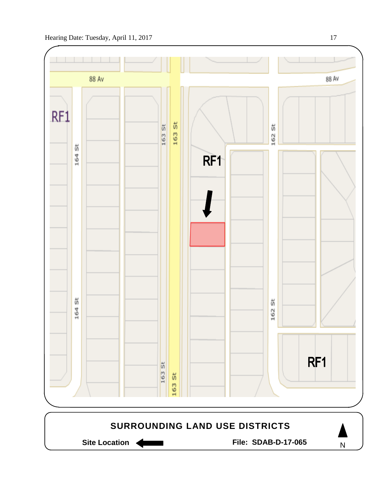



Site Location **Communist Contract Contract Contract Contract Contract Contract Contract Contract Contract Contract Contract Contract Contract Contract Contract Contract Contract Contract Contract Contract Contract Contract** 

N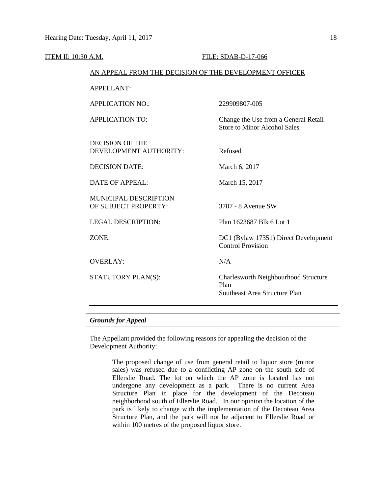| ITEM II: 10:30 A.M.                                  | FILE: SDAB-D-17-066                                                           |  |  |
|------------------------------------------------------|-------------------------------------------------------------------------------|--|--|
|                                                      | AN APPEAL FROM THE DECISION OF THE DEVELOPMENT OFFICER                        |  |  |
| <b>APPELLANT:</b>                                    |                                                                               |  |  |
| <b>APPLICATION NO.:</b>                              | 229909807-005                                                                 |  |  |
| <b>APPLICATION TO:</b>                               | Change the Use from a General Retail<br><b>Store to Minor Alcohol Sales</b>   |  |  |
| <b>DECISION OF THE</b><br>DEVELOPMENT AUTHORITY:     | Refused                                                                       |  |  |
| <b>DECISION DATE:</b>                                | March 6, 2017                                                                 |  |  |
| <b>DATE OF APPEAL:</b>                               | March 15, 2017                                                                |  |  |
| <b>MUNICIPAL DESCRIPTION</b><br>OF SUBJECT PROPERTY: | 3707 - 8 Avenue SW                                                            |  |  |
| <b>LEGAL DESCRIPTION:</b>                            | Plan 1623687 Blk 6 Lot 1                                                      |  |  |
| ZONE:                                                | DC1 (Bylaw 17351) Direct Development<br><b>Control Provision</b>              |  |  |
| <b>OVERLAY:</b>                                      | N/A                                                                           |  |  |
| STATUTORY PLAN(S):                                   | Charlesworth Neighbourhood Structure<br>Plan<br>Southeast Area Structure Plan |  |  |
|                                                      |                                                                               |  |  |

#### *Grounds for Appeal*

The Appellant provided the following reasons for appealing the decision of the Development Authority:

> The proposed change of use from general retail to liquor store (minor sales) was refused due to a conflicting AP zone on the south side of Ellerslie Road. The lot on which the AP zone is located has not undergone any development as a park. There is no current Area Structure Plan in place for the development of the Decoteau neighborhood south of Ellerslie Road. In our opinion the location of the park is likely to change with the implementation of the Decoteau Area Structure Plan, and the park will not be adjacent to Ellerslie Road or within 100 metres of the proposed liquor store.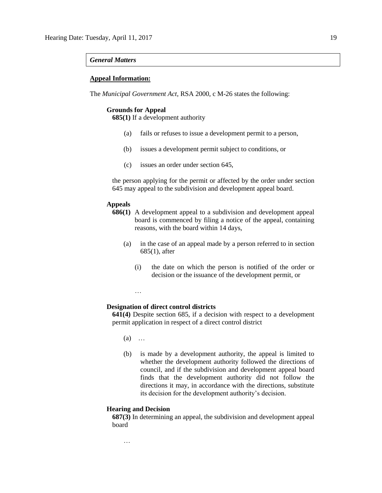#### *General Matters*

#### **Appeal Information:**

The *Municipal Government Act*, RSA 2000, c M-26 states the following:

#### **Grounds for Appeal**

**685(1)** If a development authority

- (a) fails or refuses to issue a development permit to a person,
- (b) issues a development permit subject to conditions, or
- (c) issues an order under section 645,

the person applying for the permit or affected by the order under section 645 may appeal to the subdivision and development appeal board.

#### **Appeals**

- **686(1)** A development appeal to a subdivision and development appeal board is commenced by filing a notice of the appeal, containing reasons, with the board within 14 days,
	- (a) in the case of an appeal made by a person referred to in section 685(1), after
		- (i) the date on which the person is notified of the order or decision or the issuance of the development permit, or

#### **Designation of direct control districts**

**641(4)** Despite section 685, if a decision with respect to a development permit application in respect of a direct control district

(a) …

…

(b) is made by a development authority, the appeal is limited to whether the development authority followed the directions of council, and if the subdivision and development appeal board finds that the development authority did not follow the directions it may, in accordance with the directions, substitute its decision for the development authority's decision.

#### **Hearing and Decision**

…

**687(3)** In determining an appeal, the subdivision and development appeal board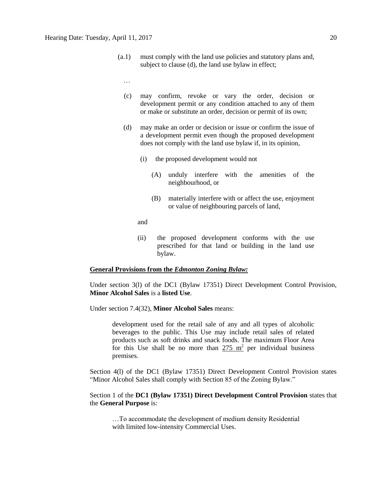- (a.1) must comply with the land use policies and statutory plans and, subject to clause (d), the land use bylaw in effect;
	- …
	- (c) may confirm, revoke or vary the order, decision or development permit or any condition attached to any of them or make or substitute an order, decision or permit of its own;
	- (d) may make an order or decision or issue or confirm the issue of a development permit even though the proposed development does not comply with the land use bylaw if, in its opinion,
		- (i) the proposed development would not
			- (A) unduly interfere with the amenities of the neighbourhood, or
			- (B) materially interfere with or affect the use, enjoyment or value of neighbouring parcels of land,

and

(ii) the proposed development conforms with the use prescribed for that land or building in the land use bylaw.

#### **General Provisions from the** *Edmonton Zoning Bylaw:*

Under section 3(l) of the DC1 (Bylaw 17351) Direct Development Control Provision, **Minor Alcohol Sales** is a **listed Use**.

Under section 7.4(32), **Minor Alcohol Sales** means:

development used for the retail sale of any and all types of alcoholic beverages to the public. This Use may include retail sales of related products such as soft drinks and snack foods. The maximum Floor Area for this Use shall be no more than  $275 \text{ m}^2$  per individual business premises.

Section 4(l) of the DC1 (Bylaw 17351) Direct Development Control Provision states "Minor Alcohol Sales shall comply with Section 85 of the Zoning Bylaw."

#### Section 1 of the **DC1 (Bylaw 17351) Direct Development Control Provision** states that the **General Purpose** is:

…To accommodate the development of medium density Residential with limited low-intensity Commercial Uses.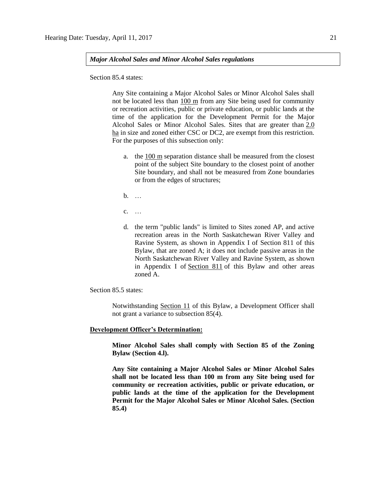*Major Alcohol Sales and Minor Alcohol Sales regulations*

Section 85.4 states:

Any Site containing a Major Alcohol Sales or Minor Alcohol Sales shall not be located less than 100 m from any Site being used for community or recreation activities, public or private education, or public lands at the time of the application for the Development Permit for the Major Alcohol Sales or Minor Alcohol Sales. Sites that are greater than [2.0](javascript:void(0);)  [ha](javascript:void(0);) in size and zoned either CSC or DC2, are exempt from this restriction. For the purposes of this subsection only:

- a. the [100 m](http://webdocs.edmonton.ca/InfraPlan/zoningbylaw/ZoningBylaw/Measurements/im100.htm) separation distance shall be measured from the closest point of the subject Site boundary to the closest point of another Site boundary, and shall not be measured from Zone boundaries or from the edges of structures;
- b. …
- c. …
- d. the term "public lands" is limited to Sites zoned AP, and active recreation areas in the North Saskatchewan River Valley and Ravine System, as shown in Appendix I of Section 811 of this Bylaw, that are zoned A; it does not include passive areas in the North Saskatchewan River Valley and Ravine System, as shown in Appendix I of [Section 811](http://webdocs.edmonton.ca/InfraPlan/zoningbylaw/ZoningBylaw/Part2/Overlays/811_North_Saskatchewan_River_Valley_and_Ravine_System_Protection_Overlay.htm) of this Bylaw and other areas zoned A.

Section 85.5 states:

Notwithstanding Section 11 of this Bylaw, a Development Officer shall not grant a variance to subsection 85(4).

#### **Development Officer's Determination:**

**Minor Alcohol Sales shall comply with Section 85 of the Zoning Bylaw (Section 4.l).**

**Any Site containing a Major Alcohol Sales or Minor Alcohol Sales shall not be located less than 100 m from any Site being used for community or recreation activities, public or private education, or public lands at the time of the application for the Development Permit for the Major Alcohol Sales or Minor Alcohol Sales. (Section 85.4)**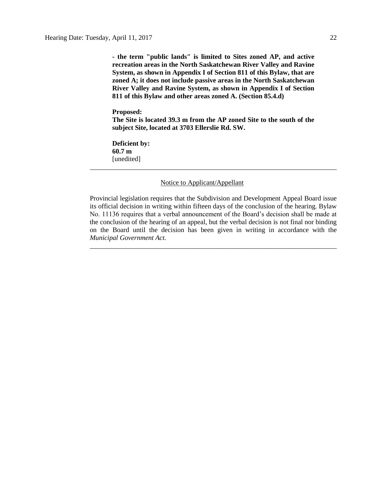**- the term "public lands" is limited to Sites zoned AP, and active recreation areas in the North Saskatchewan River Valley and Ravine System, as shown in Appendix I of Section 811 of this Bylaw, that are zoned A; it does not include passive areas in the North Saskatchewan River Valley and Ravine System, as shown in Appendix I of Section 811 of this Bylaw and other areas zoned A. (Section 85.4.d)**

#### **Proposed:**

**The Site is located 39.3 m from the AP zoned Site to the south of the subject Site, located at 3703 Ellerslie Rd. SW.**

\_\_\_\_\_\_\_\_\_\_\_\_\_\_\_\_\_\_\_\_\_\_\_\_\_\_\_\_\_\_\_\_\_\_\_\_\_\_\_\_\_\_\_\_\_\_\_\_\_\_\_\_\_\_\_\_\_\_\_\_\_\_\_\_\_\_\_\_\_\_\_\_

**Deficient by: 60.7 m** [unedited]

#### Notice to Applicant/Appellant

Provincial legislation requires that the Subdivision and Development Appeal Board issue its official decision in writing within fifteen days of the conclusion of the hearing. Bylaw No. 11136 requires that a verbal announcement of the Board's decision shall be made at the conclusion of the hearing of an appeal, but the verbal decision is not final nor binding on the Board until the decision has been given in writing in accordance with the *Municipal Government Act.*

\_\_\_\_\_\_\_\_\_\_\_\_\_\_\_\_\_\_\_\_\_\_\_\_\_\_\_\_\_\_\_\_\_\_\_\_\_\_\_\_\_\_\_\_\_\_\_\_\_\_\_\_\_\_\_\_\_\_\_\_\_\_\_\_\_\_\_\_\_\_\_\_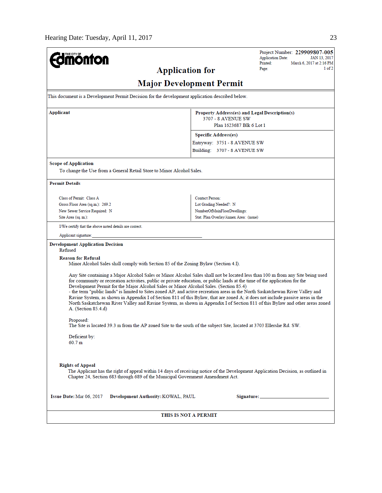| <b>monton</b>                                                                                                                                                                                                                                                                                                                                                                                                                                                                                                                                                                                                                                                                                                                                                                     | Project Number: 229909807-005<br><b>Application Date:</b><br>JAN 13, 2017                                                        |  |  |  |  |  |
|-----------------------------------------------------------------------------------------------------------------------------------------------------------------------------------------------------------------------------------------------------------------------------------------------------------------------------------------------------------------------------------------------------------------------------------------------------------------------------------------------------------------------------------------------------------------------------------------------------------------------------------------------------------------------------------------------------------------------------------------------------------------------------------|----------------------------------------------------------------------------------------------------------------------------------|--|--|--|--|--|
| <b>Application for</b>                                                                                                                                                                                                                                                                                                                                                                                                                                                                                                                                                                                                                                                                                                                                                            | Printed:<br>March 6, 2017 at 2:16 PM<br>1 of 2<br>Page:                                                                          |  |  |  |  |  |
| <b>Major Development Permit</b>                                                                                                                                                                                                                                                                                                                                                                                                                                                                                                                                                                                                                                                                                                                                                   |                                                                                                                                  |  |  |  |  |  |
| This document is a Development Permit Decision for the development application described below.                                                                                                                                                                                                                                                                                                                                                                                                                                                                                                                                                                                                                                                                                   |                                                                                                                                  |  |  |  |  |  |
| Applicant                                                                                                                                                                                                                                                                                                                                                                                                                                                                                                                                                                                                                                                                                                                                                                         | Property Address(es) and Legal Description(s)                                                                                    |  |  |  |  |  |
| 3707 - 8 AVENUE SW<br>Plan 1623687 Blk 6 Lot 1                                                                                                                                                                                                                                                                                                                                                                                                                                                                                                                                                                                                                                                                                                                                    |                                                                                                                                  |  |  |  |  |  |
|                                                                                                                                                                                                                                                                                                                                                                                                                                                                                                                                                                                                                                                                                                                                                                                   | <b>Specific Address(es)</b>                                                                                                      |  |  |  |  |  |
|                                                                                                                                                                                                                                                                                                                                                                                                                                                                                                                                                                                                                                                                                                                                                                                   | Entryway: 3751 - 8 AVENUE SW                                                                                                     |  |  |  |  |  |
|                                                                                                                                                                                                                                                                                                                                                                                                                                                                                                                                                                                                                                                                                                                                                                                   | Building: 3707 - 8 AVENUE SW                                                                                                     |  |  |  |  |  |
| <b>Scope of Application</b>                                                                                                                                                                                                                                                                                                                                                                                                                                                                                                                                                                                                                                                                                                                                                       |                                                                                                                                  |  |  |  |  |  |
| To change the Use from a General Retail Store to Minor Alcohol Sales.                                                                                                                                                                                                                                                                                                                                                                                                                                                                                                                                                                                                                                                                                                             |                                                                                                                                  |  |  |  |  |  |
| <b>Permit Details</b>                                                                                                                                                                                                                                                                                                                                                                                                                                                                                                                                                                                                                                                                                                                                                             |                                                                                                                                  |  |  |  |  |  |
| Class of Permit: Class A                                                                                                                                                                                                                                                                                                                                                                                                                                                                                                                                                                                                                                                                                                                                                          | <b>Contact Person:</b>                                                                                                           |  |  |  |  |  |
| Gross Floor Area (sq.m.): 269.2                                                                                                                                                                                                                                                                                                                                                                                                                                                                                                                                                                                                                                                                                                                                                   | Lot Grading Needed?: N                                                                                                           |  |  |  |  |  |
| New Sewer Service Required: N<br>Site Area (sq. m.):                                                                                                                                                                                                                                                                                                                                                                                                                                                                                                                                                                                                                                                                                                                              | NumberOfMainFloorDwellings:<br>Stat. Plan Overlay/Annex Area: (none)                                                             |  |  |  |  |  |
| I/We certify that the above noted details are correct.                                                                                                                                                                                                                                                                                                                                                                                                                                                                                                                                                                                                                                                                                                                            |                                                                                                                                  |  |  |  |  |  |
| Applicant signature:                                                                                                                                                                                                                                                                                                                                                                                                                                                                                                                                                                                                                                                                                                                                                              |                                                                                                                                  |  |  |  |  |  |
|                                                                                                                                                                                                                                                                                                                                                                                                                                                                                                                                                                                                                                                                                                                                                                                   |                                                                                                                                  |  |  |  |  |  |
| <b>Development Application Decision</b><br>Refused                                                                                                                                                                                                                                                                                                                                                                                                                                                                                                                                                                                                                                                                                                                                |                                                                                                                                  |  |  |  |  |  |
| <b>Reason for Refusal</b><br>Minor Alcohol Sales shall comply with Section 85 of the Zoning Bylaw (Section 4.1).                                                                                                                                                                                                                                                                                                                                                                                                                                                                                                                                                                                                                                                                  |                                                                                                                                  |  |  |  |  |  |
| Any Site containing a Major Alcohol Sales or Minor Alcohol Sales shall not be located less than 100 m from any Site being used<br>for community or recreation activities, public or private education, or public lands at the time of the application for the<br>Development Permit for the Major Alcohol Sales or Minor Alcohol Sales. (Section 85.4)<br>- the term "public lands" is limited to Sites zoned AP, and active recreation areas in the North Saskatchewan River Valley and<br>Ravine System, as shown in Appendix I of Section 811 of this Bylaw, that are zoned A; it does not include passive areas in the<br>North Saskatchewan River Valley and Ravine System, as shown in Appendix I of Section 811 of this Bylaw and other areas zoned<br>A. (Section 85.4.d) |                                                                                                                                  |  |  |  |  |  |
| Proposed:<br>The Site is located 39.3 m from the AP zoned Site to the south of the subject Site, located at 3703 Ellerslie Rd. SW.                                                                                                                                                                                                                                                                                                                                                                                                                                                                                                                                                                                                                                                |                                                                                                                                  |  |  |  |  |  |
| Deficient by:<br>60.7 m                                                                                                                                                                                                                                                                                                                                                                                                                                                                                                                                                                                                                                                                                                                                                           |                                                                                                                                  |  |  |  |  |  |
| <b>Rights of Appeal</b><br>Chapter 24, Section 683 through 689 of the Municipal Government Amendment Act.                                                                                                                                                                                                                                                                                                                                                                                                                                                                                                                                                                                                                                                                         | The Applicant has the right of appeal within 14 days of receiving notice of the Development Application Decision, as outlined in |  |  |  |  |  |
| Issue Date: Mar 06, 2017<br>Development Authority: KOWAL, PAUL                                                                                                                                                                                                                                                                                                                                                                                                                                                                                                                                                                                                                                                                                                                    |                                                                                                                                  |  |  |  |  |  |
| THIS IS NOT A PERMIT                                                                                                                                                                                                                                                                                                                                                                                                                                                                                                                                                                                                                                                                                                                                                              |                                                                                                                                  |  |  |  |  |  |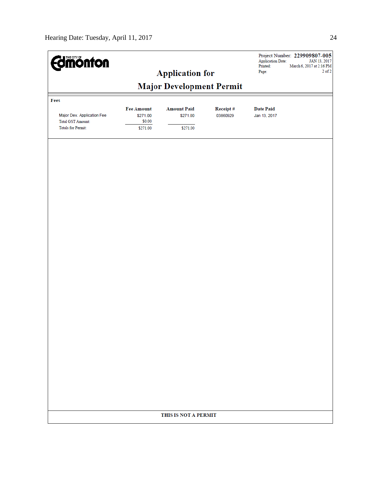| <b>Edinion form</b>        |                   | <b>Application for</b>          |          | <b>Application Date:</b><br>Printed:<br>Page: | Project Number: 229909807-005<br>JAN 13, 2017<br>March 6, 2017 at 2:16 PM<br>$2$ of $2$ |
|----------------------------|-------------------|---------------------------------|----------|-----------------------------------------------|-----------------------------------------------------------------------------------------|
|                            |                   | <b>Major Development Permit</b> |          |                                               |                                                                                         |
| Fees                       |                   |                                 |          |                                               |                                                                                         |
|                            | <b>Fee Amount</b> | <b>Amount Paid</b>              | Receipt# | <b>Date Paid</b>                              |                                                                                         |
| Major Dev. Application Fee | \$271.00          | \$271.00                        | 03860929 | Jan 13, 2017                                  |                                                                                         |
| <b>Total GST Amount:</b>   | \$0.00            |                                 |          |                                               |                                                                                         |
| <b>Totals for Permit:</b>  | \$271.00          | \$271.00                        |          |                                               |                                                                                         |
|                            |                   |                                 |          |                                               |                                                                                         |
|                            |                   |                                 |          |                                               |                                                                                         |
|                            |                   |                                 |          |                                               |                                                                                         |
|                            |                   |                                 |          |                                               |                                                                                         |
|                            |                   |                                 |          |                                               |                                                                                         |
|                            |                   |                                 |          |                                               |                                                                                         |
|                            |                   |                                 |          |                                               |                                                                                         |
|                            |                   |                                 |          |                                               |                                                                                         |
|                            |                   |                                 |          |                                               |                                                                                         |
|                            |                   |                                 |          |                                               |                                                                                         |
|                            |                   |                                 |          |                                               |                                                                                         |
|                            |                   |                                 |          |                                               |                                                                                         |
|                            |                   |                                 |          |                                               |                                                                                         |
|                            |                   |                                 |          |                                               |                                                                                         |
|                            |                   |                                 |          |                                               |                                                                                         |
|                            |                   |                                 |          |                                               |                                                                                         |
|                            |                   |                                 |          |                                               |                                                                                         |
|                            |                   |                                 |          |                                               |                                                                                         |
|                            |                   |                                 |          |                                               |                                                                                         |
|                            |                   |                                 |          |                                               |                                                                                         |
|                            |                   |                                 |          |                                               |                                                                                         |
|                            |                   |                                 |          |                                               |                                                                                         |
|                            |                   |                                 |          |                                               |                                                                                         |
|                            |                   | THIS IS NOT A PERMIT            |          |                                               |                                                                                         |